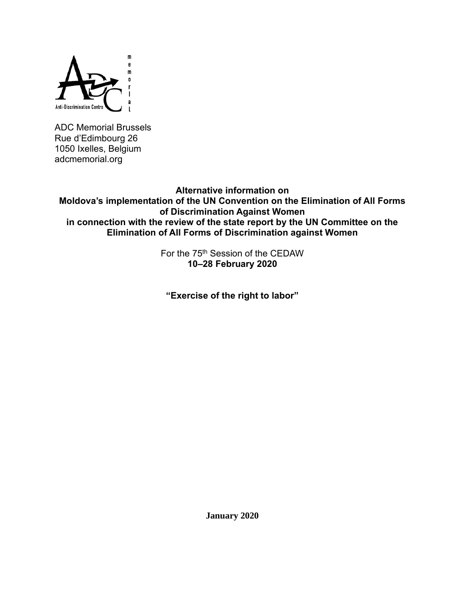

ADC Memorial Brussels Rue d'Edimbourg 26 1050 Ixelles, Belgium adcmemorial.org

**Alternative information on Moldova's implementation of the UN Convention on the Elimination of All Forms of Discrimination Against Women in connection with the review of the state report by the UN Committee on the Elimination of All Forms of Discrimination against Women**

> For the 75<sup>th</sup> Session of the CEDAW **10–28 February 2020**

**"Exercise of the right to labor"**

**January 2020**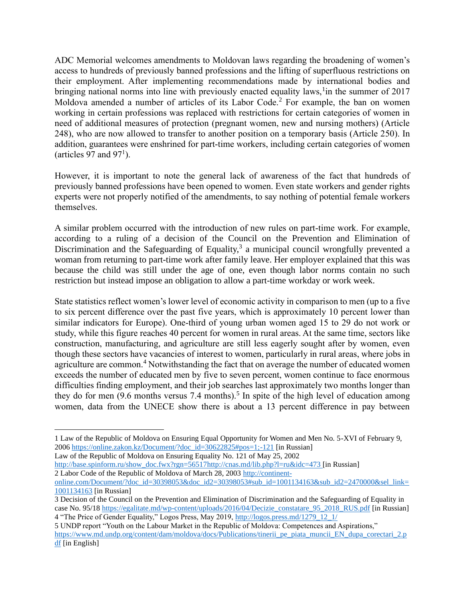ADC Memorial welcomes amendments to Moldovan laws regarding the broadening of women's access to hundreds of previously banned professions and the lifting of superfluous restrictions on their employment. After implementing recommendations made by international bodies and bringing national norms into line with previously enacted equality laws, <sup>1</sup> in the summer of 2017 Moldova amended a number of articles of its Labor Code.<sup>2</sup> For example, the ban on women working in certain professions was replaced with restrictions for certain categories of women in need of additional measures of protection (pregnant women, new and nursing mothers) (Article 248), who are now allowed to transfer to another position on a temporary basis (Article 250). In addition, guarantees were enshrined for part-time workers, including certain categories of women (articles 97 and 97 $^1$ ).

However, it is important to note the general lack of awareness of the fact that hundreds of previously banned professions have been opened to women. Even state workers and gender rights experts were not properly notified of the amendments, to say nothing of potential female workers themselves.

A similar problem occurred with the introduction of new rules on part-time work. For example, according to a ruling of a decision of the Council on the Prevention and Elimination of Discrimination and the Safeguarding of Equality, $3$  a municipal council wrongfully prevented a woman from returning to part-time work after family leave. Her employer explained that this was because the child was still under the age of one, even though labor norms contain no such restriction but instead impose an obligation to allow a part-time workday or work week.

State statistics reflect women's lower level of economic activity in comparison to men (up to a five to six percent difference over the past five years, which is approximately 10 percent lower than similar indicators for Europe). One-third of young urban women aged 15 to 29 do not work or study, while this figure reaches 40 percent for women in rural areas. At the same time, sectors like construction, manufacturing, and agriculture are still less eagerly sought after by women, even though these sectors have vacancies of interest to women, particularly in rural areas, where jobs in agriculture are common.<sup>4</sup> Notwithstanding the fact that on average the number of educated women exceeds the number of educated men by five to seven percent, women continue to face enormous difficulties finding employment, and their job searches last approximately two months longer than they do for men  $(9.6 \text{ months} \text{ versus } 7.4 \text{ months})$ .<sup>5</sup> In spite of the high level of education among women, data from the UNECE show there is about a 13 percent difference in pay between

Law of the Republic of Moldova on Ensuring Equality No. 121 of May 25, 2002

[http://base.spinform.ru/show\\_doc.fwx?rgn=56517](http://base.spinform.ru/show_doc.fwx?rgn=56517)<http://cnas.md/lib.php?l=ru&idc=473> [in Russian] 2 Labor Code of the Republic of Moldova of March 28, 2003 [http://continent-](http://continent-online.com/Document/?doc_id=30398053&doc_id2=30398053#sub_id=1001134163&sub_id2=2470000&sel_link=1001134163)

<sup>1</sup> Law of the Republic of Moldova on Ensuring Equal Opportunity for Women and Men No. 5-XVI of February 9, 200[6 https://online.zakon.kz/Document/?doc\\_id=30622825#pos=1;-121](https://online.zakon.kz/Document/?doc_id=30622825#pos=1;-121) [in Russian]

[online.com/Document/?doc\\_id=30398053&doc\\_id2=30398053#sub\\_id=1001134163&sub\\_id2=2470000&sel\\_link=](http://continent-online.com/Document/?doc_id=30398053&doc_id2=30398053#sub_id=1001134163&sub_id2=2470000&sel_link=1001134163) [1001134163](http://continent-online.com/Document/?doc_id=30398053&doc_id2=30398053#sub_id=1001134163&sub_id2=2470000&sel_link=1001134163) [in Russian]

<sup>3</sup> Decision of the Council on the Prevention and Elimination of Discrimination and the Safeguarding of Equality in case No. 95/18 [https://egalitate.md/wp-content/uploads/2016/04/Decizie\\_constatare\\_95\\_2018\\_RUS.pdf](https://egalitate.md/wp-content/uploads/2016/04/Decizie_constatare_95_2018_RUS.pdf) [in Russian] 4 "The Price of Gender Equality," Logos Press, May 2019, [http://logos.press.md/1279\\_12\\_1/](http://logos.press.md/1279_12_1/)

<sup>5</sup> UNDP report "Youth on the Labour Market in the Republic of Moldova: Competences and Aspirations," https://www.md.undp.org/content/dam/moldova/docs/Publications/tinerii pe\_piata\_muncii\_EN\_dupa\_corectari\_2.p [df](https://www.md.undp.org/content/dam/moldova/docs/Publications/tinerii_pe_piata_muncii_EN_dupa_corectari_2.pdf) [in English]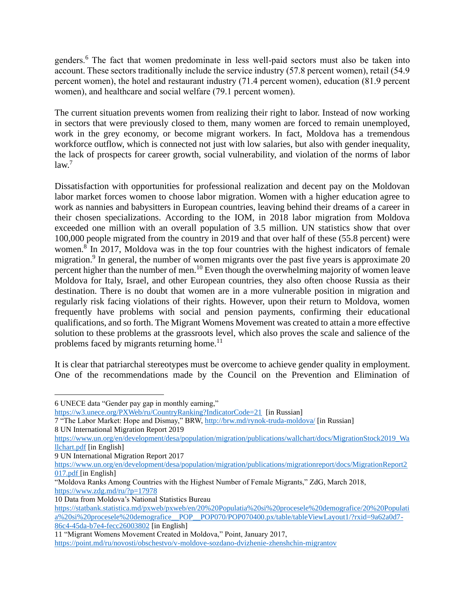genders.<sup>6</sup> The fact that women predominate in less well-paid sectors must also be taken into account. These sectors traditionally include the service industry (57.8 percent women), retail (54.9 percent women), the hotel and restaurant industry (71.4 percent women), education (81.9 percent women), and healthcare and social welfare (79.1 percent women).

The current situation prevents women from realizing their right to labor. Instead of now working in sectors that were previously closed to them, many women are forced to remain unemployed, work in the grey economy, or become migrant workers. In fact, Moldova has a tremendous workforce outflow, which is connected not just with low salaries, but also with gender inequality, the lack of prospects for career growth, social vulnerability, and violation of the norms of labor  $law<sup>7</sup>$ 

Dissatisfaction with opportunities for professional realization and decent pay on the Moldovan labor market forces women to choose labor migration. Women with a higher education agree to work as nannies and babysitters in European countries, leaving behind their dreams of a career in their chosen specializations. According to the IOM, in 2018 labor migration from Moldova exceeded one million with an overall population of 3.5 million. UN statistics show that over 100,000 people migrated from the country in 2019 and that over half of these (55.8 percent) were women.<sup>8</sup> In 2017, Moldova was in the top four countries with the highest indicators of female migration.<sup>9</sup> In general, the number of women migrants over the past five years is approximate 20 percent higher than the number of men.<sup>10</sup> Even though the overwhelming majority of women leave Moldova for Italy, Israel, and other European countries, they also often choose Russia as their destination. There is no doubt that women are in a more vulnerable position in migration and regularly risk facing violations of their rights. However, upon their return to Moldova, women frequently have problems with social and pension payments, confirming their educational qualifications, and so forth. The Migrant Womens Movement was created to attain a more effective solution to these problems at the grassroots level, which also proves the scale and salience of the problems faced by migrants returning home.<sup>11</sup>

It is clear that patriarchal stereotypes must be overcome to achieve gender quality in employment. One of the recommendations made by the Council on the Prevention and Elimination of

<https://w3.unece.org/PXWeb/ru/CountryRanking?IndicatorCode=21>[in Russian]

9 UN International Migration Report 2017

10 Data from Moldova's National Statistics Bureau

<sup>6</sup> UNECE data "Gender pay gap in monthly earning,"

<sup>7</sup> "The Labor Market: Hope and Dismay," BRW,<http://brw.md/rynok-truda-moldova/> [in Russian] 8 UN International Migration Report 2019

[https://www.un.org/en/development/desa/population/migration/publications/wallchart/docs/MigrationStock2019\\_Wa](https://www.un.org/en/development/desa/population/migration/publications/wallchart/docs/MigrationStock2019_Wallchart.pdf) [llchart.pdf](https://www.un.org/en/development/desa/population/migration/publications/wallchart/docs/MigrationStock2019_Wallchart.pdf) [in English]

[https://www.un.org/en/development/desa/population/migration/publications/migrationreport/docs/MigrationReport2](https://www.un.org/en/development/desa/population/migration/publications/migrationreport/docs/MigrationReport2017.pdf) [017.pdf](https://www.un.org/en/development/desa/population/migration/publications/migrationreport/docs/MigrationReport2017.pdf) [in English]

<sup>&</sup>quot;Moldova Ranks Among Countries with the Highest Number of Female Migrants," ZdG, March 2018, <https://www.zdg.md/ru/?p=17978>

https://statbank.statistica.md/pxweb/pxweb/en/20%20Populatia%20si%20procesele%20demografice/20%20Populati a%20si%20procesele%20demografice\_POP\_POP070/POP070400.px/table/tableViewLayout1/?rxid=9a62a0d7-86c4-45da-b7e4-fecc26003802 [in English]

<sup>11</sup> "Migrant Womens Movement Created in Moldova," Point, January 2017,

<https://point.md/ru/novosti/obschestvo/v-moldove-sozdano-dvizhenie-zhenshchin-migrantov>